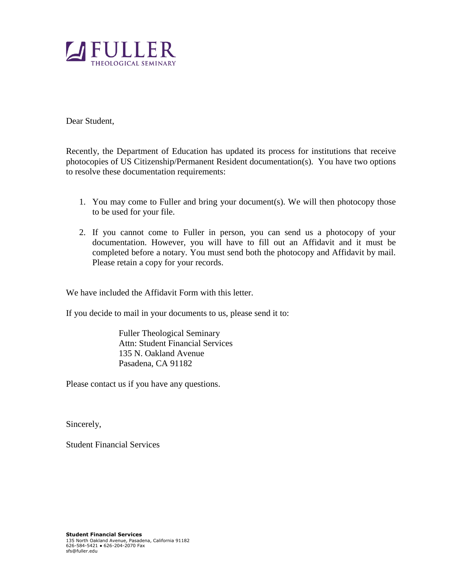

Dear Student,

Recently, the Department of Education has updated its process for institutions that receive photocopies of US Citizenship/Permanent Resident documentation(s). You have two options to resolve these documentation requirements:

- 1. You may come to Fuller and bring your document(s). We will then photocopy those to be used for your file.
- 2. If you cannot come to Fuller in person, you can send us a photocopy of your documentation. However, you will have to fill out an Affidavit and it must be completed before a notary. You must send both the photocopy and Affidavit by mail. Please retain a copy for your records.

We have included the Affidavit Form with this letter.

If you decide to mail in your documents to us, please send it to:

Fuller Theological Seminary Attn: Student Financial Services 135 N. Oakland Avenue Pasadena, CA 91182

Please contact us if you have any questions.

Sincerely,

Student Financial Services